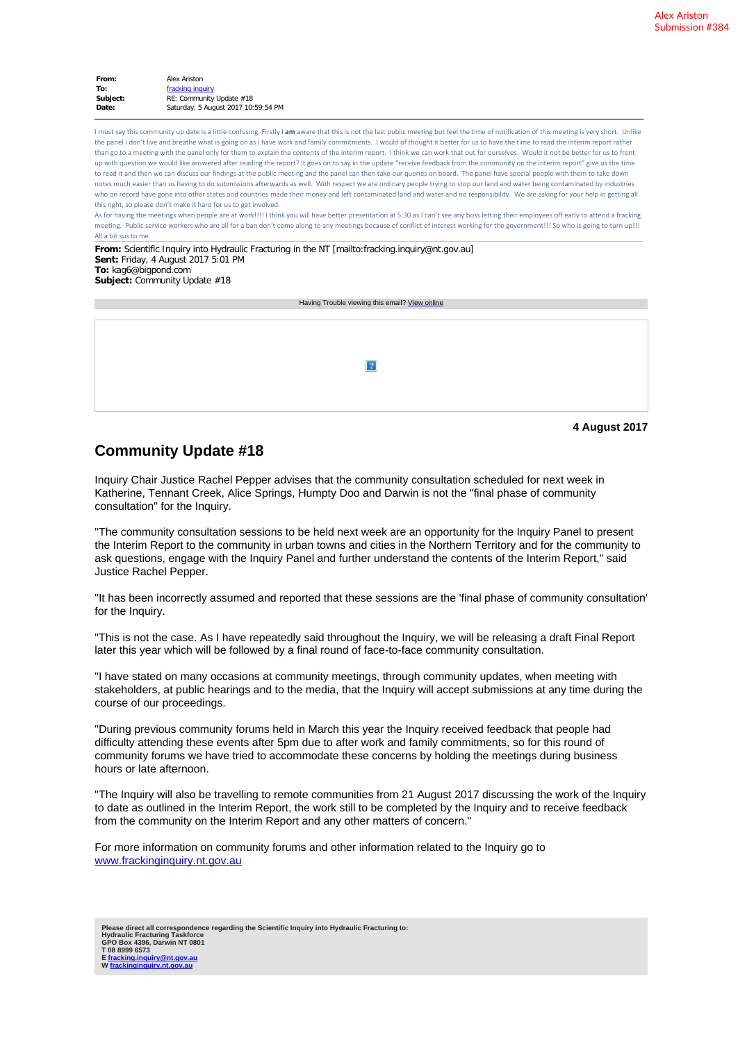| From:    | Alex Ariston                        |  |  |
|----------|-------------------------------------|--|--|
| To:      | fracking inquiry                    |  |  |
| Subject: | RE: Community Update #18            |  |  |
| Date:    | Saturday, 5 August 2017 10:59:54 PM |  |  |

I must say this community up date is a little confusing. Firstly I am aware that this is not the last public meeting but feel the time of notification of this meeting is very short. Unlike the panel I don't live and breathe what is going on as I have work and family commitments. I would of thought it better for us to have the time to read the interim report rather than go to a meeting with the panel only for them to explain the contents of the interim report. I think we can work that out for ourselves. Would it not be better for us to front up with question we would like answered after reading the report? It goes on to say in the update "receive feedback from the community on the interim report" give us the time to read it and then we can discuss our findings at the public meeting and the panel can then take our queries on board. The panel have special people with them to take down notes much easier than us having to do submissions afterwards as well. With respect we are ordinary people trying to stop our land and water being contaminated by industries who on record have gone into other states and countries made their money and left contaminated land and water and no responsibility. We are asking for your help in getting all this right, so please don't make it hard for us to get involved.

As for having the meetings when people are at work!!!! I think you will have better presentation at 5:30 as I can't see any boss letting their employees off early to attend a fracking meeting. Public service workers who are all for a ban don't come along to any meetings because of conflict of interest working for the government!!! So who is going to turn up!!! All a bit sus to me.

**From:** Scientific Inquiry into Hydraulic Fracturing in the NT [mailto:fracking.inquiry@nt.gov.au] **Sent:** Friday, 4 August 2017 5:01 PM **To:** kag6@bigpond.com **Subject:** Community Update #18

Having Trouble viewing this email? [View online](https://www.vision6.com.au/ch/48542/182mk/1812710/fadfak4wx.html)

|  | 2 |               |
|--|---|---------------|
|  |   |               |
|  |   | 4 August 2017 |

## **Community Update #18**

Inquiry Chair Justice Rachel Pepper advises that the community consultation scheduled for next week in Katherine, Tennant Creek, Alice Springs, Humpty Doo and Darwin is not the "final phase of community consultation" for the Inquiry.

"The community consultation sessions to be held next week are an opportunity for the Inquiry Panel to present the Interim Report to the community in urban towns and cities in the Northern Territory and for the community to ask questions, engage with the Inquiry Panel and further understand the contents of the Interim Report," said Justice Rachel Pepper.

"It has been incorrectly assumed and reported that these sessions are the 'final phase of community consultation' for the Inquiry.

"This is not the case. As I have repeatedly said throughout the Inquiry, we will be releasing a draft Final Report later this year which will be followed by a final round of face-to-face community consultation.

"I have stated on many occasions at community meetings, through community updates, when meeting with stakeholders, at public hearings and to the media, that the Inquiry will accept submissions at any time during the course of our proceedings.

"During previous community forums held in March this year the Inquiry received feedback that people had difficulty attending these events after 5pm due to after work and family commitments, so for this round of community forums we have tried to accommodate these concerns by holding the meetings during business hours or late afternoon.

"The Inquiry will also be travelling to remote communities from 21 August 2017 discussing the work of the Inquiry to date as outlined in the Interim Report, the work still to be completed by the Inquiry and to receive feedback from the community on the Interim Report and any other matters of concern."

For more information on community forums and other information related to the Inquiry go to [www.frackinginquiry.nt.gov.au](https://www.vision6.com.au/ch/48542/182mk/2375206/fadfapt94.html)

**Please direct all correspondence regarding the Scientific Inquiry into Hydraulic Fracturing to: Hydraulic Fracturing Taskforce GPO Box 4396, Darwin NT 0801 T 08 8999 6573 E [fracking.inquiry@nt.gov.au](mailto:fracking.inquiry@nt.gov.au) W [frackinginquiry.nt.gov.au](https://www.vision6.com.au/ch/48542/182mk/2276525/fadfa14nr4.html)**